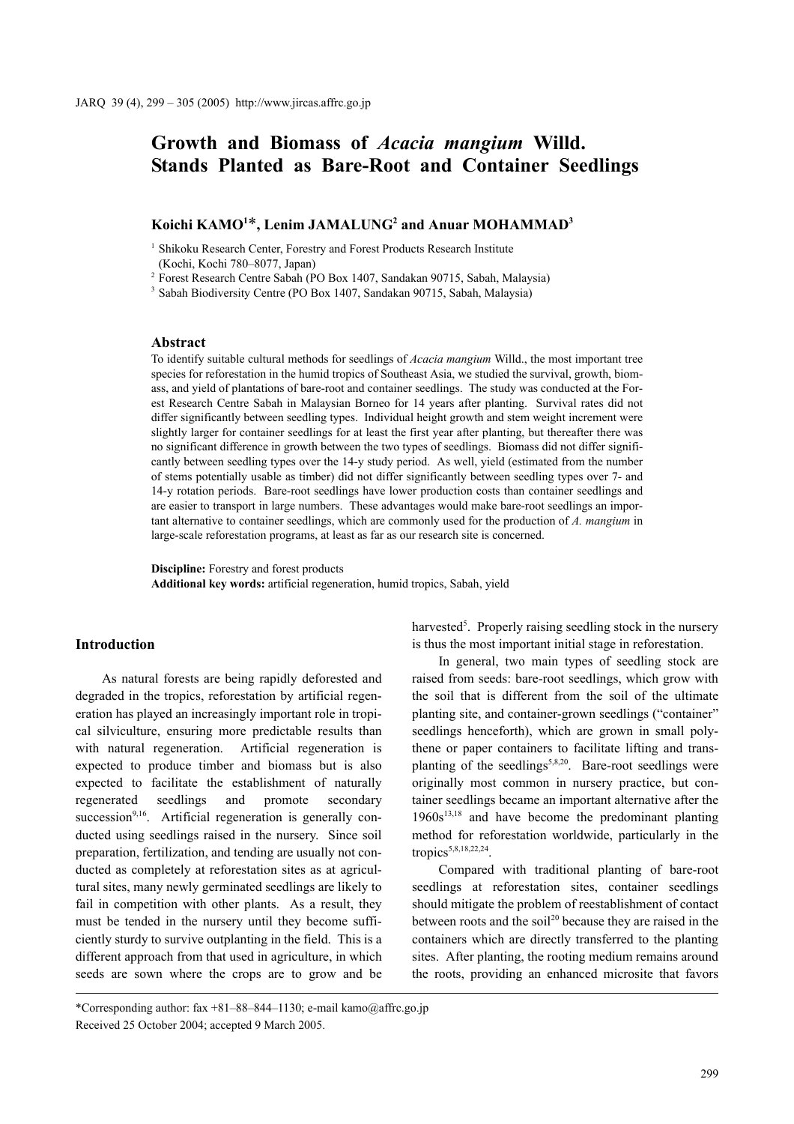# **Growth and Biomass of** *Acacia mangium* **Willd. Stands Planted as Bare-Root and Container Seedlings**

# $K$ oichi  $KAMO^{1*}$ , Lenim JAMALUNG<sup>2</sup> and Anuar MOHAMMAD<sup>3</sup>

<sup>1</sup> Shikoku Research Center, Forestry and Forest Products Research Institute (Kochi, Kochi 780–8077, Japan)

<sup>2</sup> Forest Research Centre Sabah (PO Box 1407, Sandakan 90715, Sabah, Malaysia)

<sup>3</sup> Sabah Biodiversity Centre (PO Box 1407, Sandakan 90715, Sabah, Malaysia)

# **Abstract**

To identify suitable cultural methods for seedlings of *Acacia mangium* Willd., the most important tree species for reforestation in the humid tropics of Southeast Asia, we studied the survival, growth, biomass, and yield of plantations of bare-root and container seedlings. The study was conducted at the Forest Research Centre Sabah in Malaysian Borneo for 14 years after planting. Survival rates did not differ significantly between seedling types. Individual height growth and stem weight increment were slightly larger for container seedlings for at least the first year after planting, but thereafter there was no significant difference in growth between the two types of seedlings. Biomass did not differ significantly between seedling types over the 14-y study period. As well, yield (estimated from the number of stems potentially usable as timber) did not differ significantly between seedling types over 7- and 14-y rotation periods. Bare-root seedlings have lower production costs than container seedlings and are easier to transport in large numbers. These advantages would make bare-root seedlings an important alternative to container seedlings, which are commonly used for the production of *A. mangium* in large-scale reforestation programs, at least as far as our research site is concerned.

**Discipline:** Forestry and forest products **Additional key words:** artificial regeneration, humid tropics, Sabah, yield

### **Introduction**

As natural forests are being rapidly deforested and degraded in the tropics, reforestation by artificial regeneration has played an increasingly important role in tropical silviculture, ensuring more predictable results than with natural regeneration. Artificial regeneration is expected to produce timber and biomass but is also expected to facilitate the establishment of naturally regenerated seedlings and promote secondary succession<sup>9,16</sup>. Artificial regeneration is generally conducted using seedlings raised in the nursery. Since soil preparation, fertilization, and tending are usually not conducted as completely at reforestation sites as at agricultural sites, many newly germinated seedlings are likely to fail in competition with other plants. As a result, they must be tended in the nursery until they become sufficiently sturdy to survive outplanting in the field. This is a different approach from that used in agriculture, in which seeds are sown where the crops are to grow and be

In general, two main types of seedling stock are raised from seeds: bare-root seedlings, which grow with the soil that is different from the soil of the ultimate planting site, and container-grown seedlings ("container" seedlings henceforth), which are grown in small polythene or paper containers to facilitate lifting and transplanting of the seedlings<sup>5,8,20</sup>. Bare-root seedlings were originally most common in nursery practice, but container seedlings became an important alternative after the  $1960s<sup>13,18</sup>$  and have become the predominant planting method for reforestation worldwide, particularly in the tropics<sup>5,8,18,22,24</sup>.

Compared with traditional planting of bare-root seedlings at reforestation sites, container seedlings should mitigate the problem of reestablishment of contact between roots and the soil<sup>20</sup> because they are raised in the containers which are directly transferred to the planting sites. After planting, the rooting medium remains around the roots, providing an enhanced microsite that favors

harvested<sup>5</sup>. Properly raising seedling stock in the nursery is thus the most important initial stage in reforestation.

<sup>\*</sup>Corresponding author: fax +81–88–844–1130; e-mail kamo@affrc.go.jp Received 25 October 2004; accepted 9 March 2005.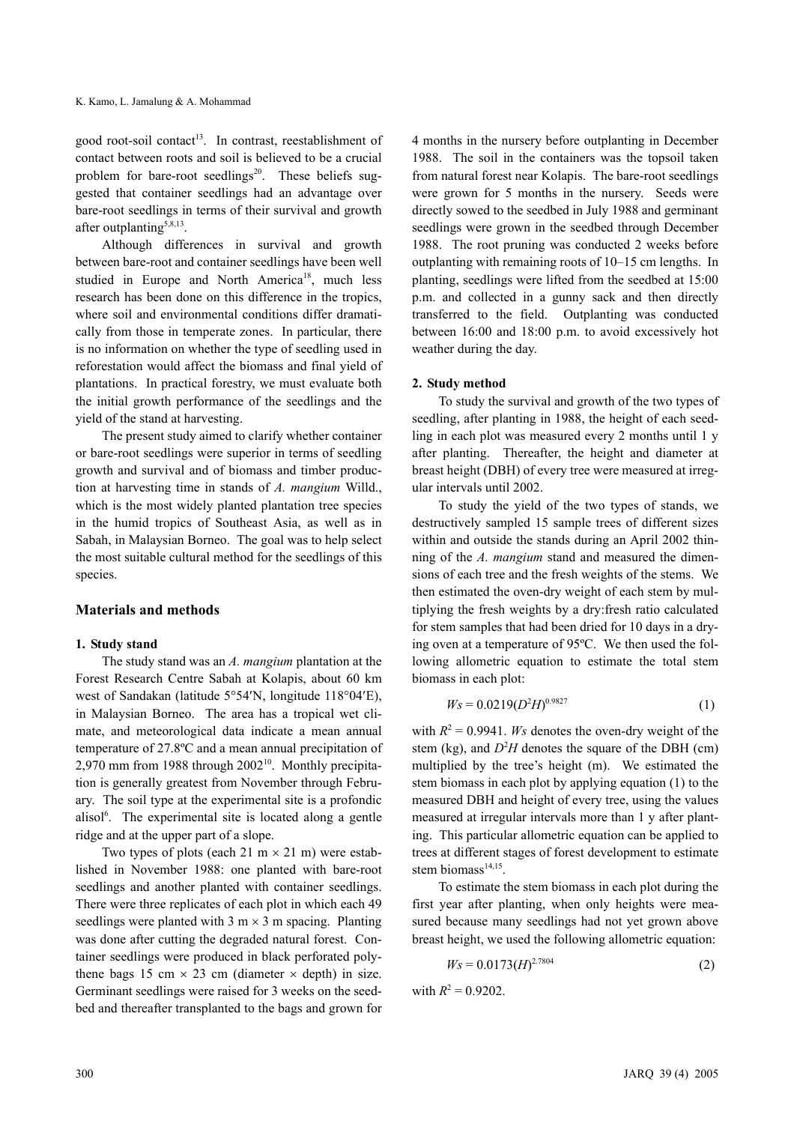good root-soil contact<sup>13</sup>. In contrast, reestablishment of contact between roots and soil is believed to be a crucial problem for bare-root seedlings $2^0$ . These beliefs suggested that container seedlings had an advantage over bare-root seedlings in terms of their survival and growth after outplanting<sup>5,8,13</sup>.

Although differences in survival and growth between bare-root and container seedlings have been well studied in Europe and North America<sup>18</sup>, much less research has been done on this difference in the tropics, where soil and environmental conditions differ dramatically from those in temperate zones. In particular, there is no information on whether the type of seedling used in reforestation would affect the biomass and final yield of plantations. In practical forestry, we must evaluate both the initial growth performance of the seedlings and the yield of the stand at harvesting.

The present study aimed to clarify whether container or bare-root seedlings were superior in terms of seedling growth and survival and of biomass and timber production at harvesting time in stands of *A. mangium* Willd., which is the most widely planted plantation tree species in the humid tropics of Southeast Asia, as well as in Sabah, in Malaysian Borneo. The goal was to help select the most suitable cultural method for the seedlings of this species.

# **Materials and methods**

#### **1. Study stand**

The study stand was an *A. mangium* plantation at the Forest Research Centre Sabah at Kolapis, about 60 km west of Sandakan (latitude 5°54′N, longitude 118°04′E), in Malaysian Borneo. The area has a tropical wet climate, and meteorological data indicate a mean annual temperature of 27.8ºC and a mean annual precipitation of 2,970 mm from 1988 through 2002<sup>10</sup>. Monthly precipitation is generally greatest from November through February. The soil type at the experimental site is a profondic alisol<sup>6</sup>. The experimental site is located along a gentle ridge and at the upper part of a slope.

Two types of plots (each 21 m  $\times$  21 m) were established in November 1988: one planted with bare-root seedlings and another planted with container seedlings. There were three replicates of each plot in which each 49 seedlings were planted with  $3 \text{ m} \times 3 \text{ m}$  spacing. Planting was done after cutting the degraded natural forest. Container seedlings were produced in black perforated polythene bags 15 cm  $\times$  23 cm (diameter  $\times$  depth) in size. Germinant seedlings were raised for 3 weeks on the seedbed and thereafter transplanted to the bags and grown for 4 months in the nursery before outplanting in December 1988. The soil in the containers was the topsoil taken from natural forest near Kolapis. The bare-root seedlings were grown for 5 months in the nursery. Seeds were directly sowed to the seedbed in July 1988 and germinant seedlings were grown in the seedbed through December 1988. The root pruning was conducted 2 weeks before outplanting with remaining roots of 10–15 cm lengths. In planting, seedlings were lifted from the seedbed at 15:00 p.m. and collected in a gunny sack and then directly transferred to the field. Outplanting was conducted between 16:00 and 18:00 p.m. to avoid excessively hot weather during the day.

#### **2. Study method**

To study the survival and growth of the two types of seedling, after planting in 1988, the height of each seedling in each plot was measured every 2 months until 1 y after planting. Thereafter, the height and diameter at breast height (DBH) of every tree were measured at irregular intervals until 2002.

To study the yield of the two types of stands, we destructively sampled 15 sample trees of different sizes within and outside the stands during an April 2002 thinning of the *A. mangium* stand and measured the dimensions of each tree and the fresh weights of the stems. We then estimated the oven-dry weight of each stem by multiplying the fresh weights by a dry:fresh ratio calculated for stem samples that had been dried for 10 days in a drying oven at a temperature of 95ºC. We then used the following allometric equation to estimate the total stem biomass in each plot:

$$
W_S = 0.0219(D^2H)^{0.9827}
$$
 (1)

with  $R^2 = 0.9941$ . *Ws* denotes the oven-dry weight of the stem (kg), and  $D<sup>2</sup>H$  denotes the square of the DBH (cm) multiplied by the tree's height (m). We estimated the stem biomass in each plot by applying equation (1) to the measured DBH and height of every tree, using the values measured at irregular intervals more than 1 y after planting. This particular allometric equation can be applied to trees at different stages of forest development to estimate stem biomass $14,15$ .

To estimate the stem biomass in each plot during the first year after planting, when only heights were measured because many seedlings had not yet grown above breast height, we used the following allometric equation:

$$
W_s = 0.0173(H)^{2.7804}
$$
 (2)

with  $R^2 = 0.9202$ .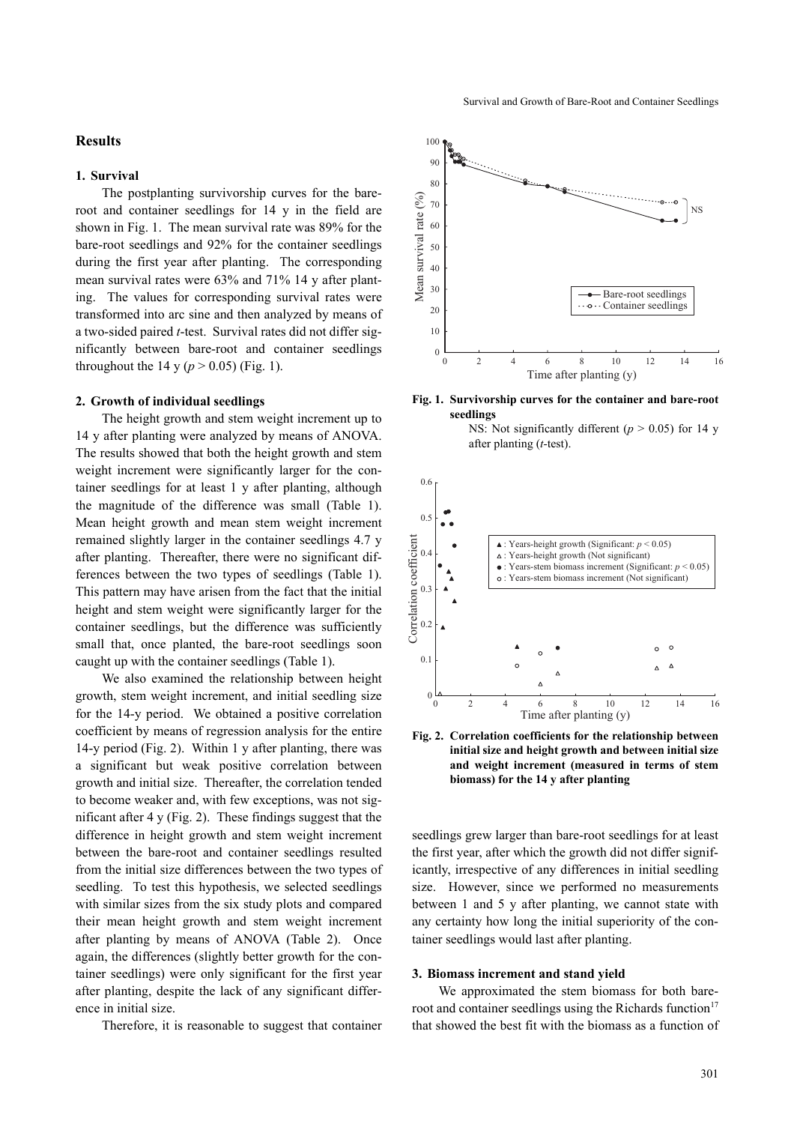# **Results**

### **1. Survival**

The postplanting survivorship curves for the bareroot and container seedlings for 14 y in the field are shown in Fig. 1. The mean survival rate was 89% for the bare-root seedlings and 92% for the container seedlings during the first year after planting. The corresponding mean survival rates were 63% and 71% 14 y after planting. The values for corresponding survival rates were transformed into arc sine and then analyzed by means of a two-sided paired *t*-test. Survival rates did not differ significantly between bare-root and container seedlings throughout the 14 y ( $p > 0.05$ ) (Fig. 1).

## **2. Growth of individual seedlings**

The height growth and stem weight increment up to 14 y after planting were analyzed by means of ANOVA. The results showed that both the height growth and stem weight increment were significantly larger for the container seedlings for at least 1 y after planting, although the magnitude of the difference was small (Table 1). Mean height growth and mean stem weight increment remained slightly larger in the container seedlings 4.7 y after planting. Thereafter, there were no significant differences between the two types of seedlings (Table 1). This pattern may have arisen from the fact that the initial height and stem weight were significantly larger for the container seedlings, but the difference was sufficiently small that, once planted, the bare-root seedlings soon caught up with the container seedlings (Table 1).

We also examined the relationship between height growth, stem weight increment, and initial seedling size for the 14-y period. We obtained a positive correlation coefficient by means of regression analysis for the entire 14-y period (Fig. 2). Within 1 y after planting, there was a significant but weak positive correlation between growth and initial size. Thereafter, the correlation tended to become weaker and, with few exceptions, was not significant after 4 y (Fig. 2). These findings suggest that the difference in height growth and stem weight increment between the bare-root and container seedlings resulted from the initial size differences between the two types of seedling. To test this hypothesis, we selected seedlings with similar sizes from the six study plots and compared their mean height growth and stem weight increment after planting by means of ANOVA (Table 2). Once again, the differences (slightly better growth for the container seedlings) were only significant for the first year after planting, despite the lack of any significant difference in initial size.







NS: Not significantly different ( $p > 0.05$ ) for 14 y after planting (*t-*test).



**Fig. 2. Correlation coefficients for the relationship between initial size and height growth and between initial size and weight increment (measured in terms of stem biomass) for the 14 y after planting**

seedlings grew larger than bare-root seedlings for at least the first year, after which the growth did not differ significantly, irrespective of any differences in initial seedling size. However, since we performed no measurements between 1 and 5 y after planting, we cannot state with any certainty how long the initial superiority of the container seedlings would last after planting.

#### **3. Biomass increment and stand yield**

We approximated the stem biomass for both bareroot and container seedlings using the Richards function $17$ that showed the best fit with the biomass as a function of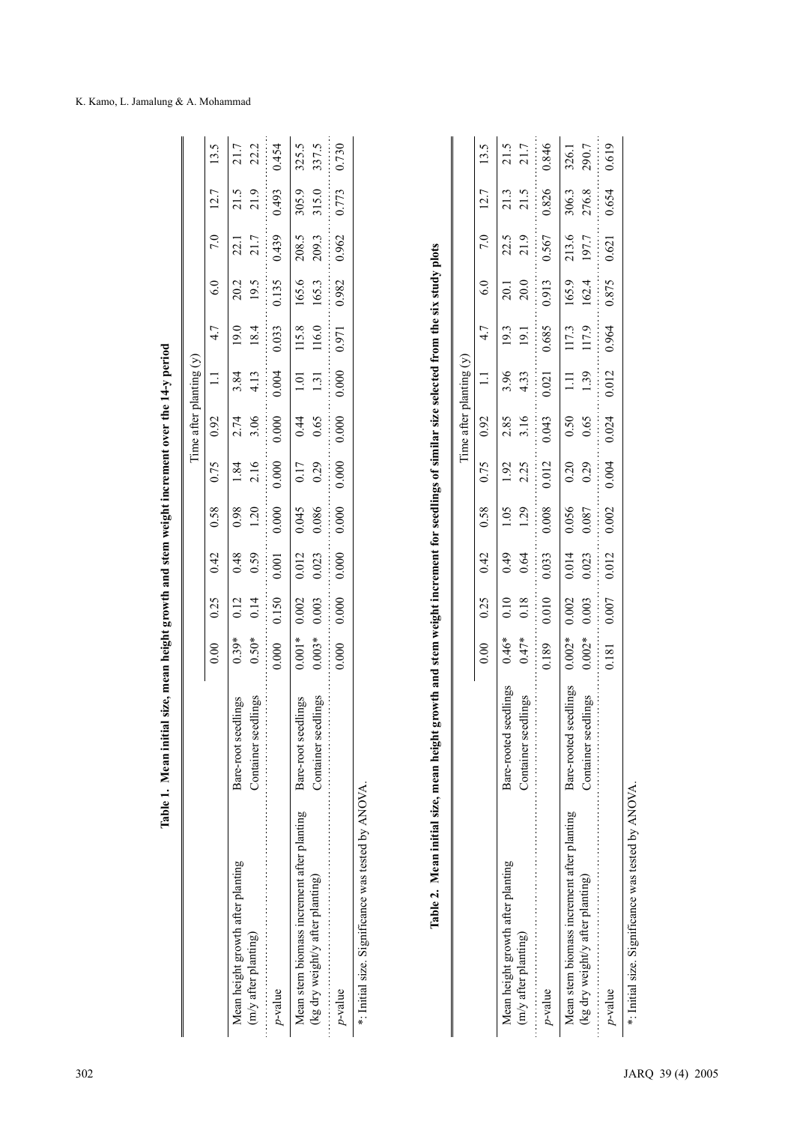|                                                                                |                                              |                      |                    |                |                |              | Time after planting |                         | $\odot$        |                |                |                                    |                |
|--------------------------------------------------------------------------------|----------------------------------------------|----------------------|--------------------|----------------|----------------|--------------|---------------------|-------------------------|----------------|----------------|----------------|------------------------------------|----------------|
|                                                                                |                                              | 0.00                 | 0.25               | 0.42           | 0.58           | 0.75         | 0.92                | $\equiv$                | 4.7            | 6.0            | 7.0            | $\overline{ }$<br>$\overline{2}$ . | S<br>$\Xi$     |
| Mean height growth after planting                                              | Bare-root seedlings                          | $0.39*$              | 0.12               | 0.48           | 0.98           | 1.84         | 2.74                | 3.84                    | 19.0           | 20.2           | 22.1           | 21.5                               | 21.7           |
| (m/y after planting)                                                           | Container seedlings                          | $0.50*$              | 0.14               | 0.59           | 1.20           | 2.16         | 3.06                | 4.13                    | 18.4           | 19.5           | 21.7           | 21.9                               | 22.2           |
| p-value                                                                        |                                              | 0.000                | 0.150              | 0.001          | 0.000          | 0.000        | 0.000               | 0.004                   | 0.033          | 0.135          | 0.439          | 0.493                              | 0.454          |
| Mean stem biomass increment after planting<br>(kg dry weight/y after planting) | Container seedlings<br>Bare-root seedlings   | $0.003*$<br>$0.001*$ | 0.003<br>0.002     | 0.023<br>0.012 | 0.086<br>0.045 | 0.29<br>0.17 | 0.65<br>0.44        | 1.31<br>1.01            | 116.0<br>115.8 | 165.6<br>165.3 | 209.3<br>208.5 | 315.0<br>305.9                     | 325.5<br>337.5 |
| $p$ -value                                                                     |                                              | 0.000                | 0.000              | 0.000          | 0.000          | 0.000        | 0.000               | 0.000                   | 0.971          | 0.982          | 0.962          | 0.773                              | 0.730          |
|                                                                                |                                              |                      |                    |                |                |              |                     | Time after planting (y) |                |                |                |                                    |                |
|                                                                                |                                              | 0.00                 | 0.25               | 0.42           | 0.58           | 0.75         | 0.92                | $\Xi$                   | 4.7            | 6.0            | 7.0            | 7<br>$\overline{5}$                | $\Xi$          |
| Mean height growth after planting<br>(m/y after planting)                      | seedlings<br>Bare-rooted                     | $0.46*$<br>$0.47*$   | 0.10<br>0.18       | 0.64<br>64.0   | 1.29<br>1.05   | 2.25<br>1.92 | 3.16<br>2.85        | 3.96<br>4.33            | 19.3<br>19.1   | 20.0<br>20.1   | 21.9<br>22.5   | 21.5<br>21.3                       | 21.5<br>$21.7$ |
|                                                                                | sedlings<br>Container s                      |                      |                    |                |                |              |                     |                         |                |                |                |                                    |                |
| p-value                                                                        |                                              | 0.189                | 0.010              | 0.033          | 0.008          | 0.012        | 0.043               | 0.021                   | 0.685          | 0.913          | 0.567          | 0.826                              | 0.846          |
| Mean stem biomass increment after planting<br>(kg dry weight/y after planting) | Bare-rooted seedlings<br>Container seedlings | $0.002*$<br>$0.002*$ | $0.002\,$<br>0.003 | 0.014<br>0.023 | 0.056<br>0.087 | 0.29<br>0.20 | 0.65<br>0.50        | 1.39<br>$\Xi$           | 117.9<br>117.3 | 162.4<br>165.9 | 213.6<br>197.7 | 306.3<br>276.8                     | 290.7<br>326.1 |
| p-value                                                                        |                                              | 0.181                | 0.007              | 0.012          | 0.002          | 0.004        | 0.024               | 0.012                   | 0.964          | 0.875          | 0.621          | 0.654                              | 0.619          |

|   | l              |  |
|---|----------------|--|
|   |                |  |
|   |                |  |
|   |                |  |
|   |                |  |
|   |                |  |
|   |                |  |
|   |                |  |
|   |                |  |
|   |                |  |
|   |                |  |
|   |                |  |
|   |                |  |
|   |                |  |
|   |                |  |
|   |                |  |
|   |                |  |
|   |                |  |
|   |                |  |
|   | ä              |  |
|   |                |  |
|   |                |  |
|   |                |  |
|   |                |  |
|   |                |  |
|   |                |  |
|   | $\overline{a}$ |  |
|   |                |  |
| i |                |  |
|   |                |  |
|   | ı              |  |
|   |                |  |
|   |                |  |
|   |                |  |
|   |                |  |
|   |                |  |
|   |                |  |
|   |                |  |
|   |                |  |
|   |                |  |
|   |                |  |
|   |                |  |
|   |                |  |
|   |                |  |
|   |                |  |
|   |                |  |
|   |                |  |
|   |                |  |
|   |                |  |
|   |                |  |
|   |                |  |
|   |                |  |
|   |                |  |
|   |                |  |
|   |                |  |
|   |                |  |
|   |                |  |
|   |                |  |
|   |                |  |
|   |                |  |
|   |                |  |
|   |                |  |
|   |                |  |
|   |                |  |
|   | Ï              |  |
|   |                |  |
|   |                |  |
|   |                |  |
|   | l              |  |
|   |                |  |
|   |                |  |
|   |                |  |
|   |                |  |
|   |                |  |
|   |                |  |
|   |                |  |
|   |                |  |
|   |                |  |
|   |                |  |
|   |                |  |
|   |                |  |
|   |                |  |
|   | J<br>ē         |  |

|                                                        |                          |                      |                                             |                                                                               |                                                       |                     | Time after planting $(\mathbf{y})$                            |                |                     |                                             |                |                                                  |                  |
|--------------------------------------------------------|--------------------------|----------------------|---------------------------------------------|-------------------------------------------------------------------------------|-------------------------------------------------------|---------------------|---------------------------------------------------------------|----------------|---------------------|---------------------------------------------|----------------|--------------------------------------------------|------------------|
|                                                        |                          | 0.00                 | 0.25                                        |                                                                               |                                                       | 0.75                |                                                               |                | $0.92$ 1.1 4.7      |                                             | 6.0 $7.0$ 12.7 |                                                  | 13.5             |
| Mean height growth after planting                      | seedlings<br>Bare-rooted | $0.46*$<br>0.47*     |                                             | $\begin{array}{c c}\n 0.42 \\  \hline\n 0.49 \\  \hline\n 0.64\n \end{array}$ | $\begin{array}{c c} 0.58 \\ 1.05 \\ 1.29 \end{array}$ |                     |                                                               |                |                     |                                             |                |                                                  |                  |
| (m/y after planting)                                   | Container seedlings      |                      | $\begin{array}{c} 0.10 \\ 0.18 \end{array}$ |                                                                               |                                                       |                     |                                                               | $3.96$<br>4.33 | $\frac{19.3}{19.1}$ | $\begin{array}{c} 20.1 \\ 20.0 \end{array}$ | 22.5<br>21.9   | $\begin{array}{c}\n 21.3 \\  21.5\n \end{array}$ | $21.5$<br>$21.7$ |
| $p$ -value                                             |                          | 0.189                | 0.010                                       | 0.033                                                                         | 0.008                                                 | $\frac{1.92}{2.25}$ | $\begin{array}{c} 2.85 \\ 3.16 \\ 0.043 \end{array}$          | 0.021          | $-0.685$            | 0.913                                       | 0.567          | 0.826                                            | 0.846            |
| Mean stem biomass increment after planting Bare-rooted | seedlings                |                      | 0.002                                       |                                                                               |                                                       |                     |                                                               |                |                     |                                             |                |                                                  |                  |
| (kg dry weight/y after planting)                       | sedlings<br>Container se | $0.002*$<br>$0.002*$ | 0.003                                       | $\frac{0.014}{0.023}$                                                         | $0.056$<br>$0.087$                                    |                     | $\begin{array}{ccc}\n0.20 & 0.50 \\ 0.29 & 0.65\n\end{array}$ | 1.11<br>1.39   | 117.3<br>117.9      | 165.9<br>162.4                              | 213.6<br>197.7 | 306.3<br>276.8                                   | 326.1<br>290.7   |
| p-value                                                |                          | 0.181                | $0.007$                                     | 0.012                                                                         | 0.002                                                 | 0.004               | 0.024                                                         | 0.012          | 0.964               | 0.875                                       | 0.621          | 0.654                                            | 0.619            |
| $*$ Initial $\vec{a}$ Significance was tested by ANOVA |                          |                      |                                             |                                                                               |                                                       |                     |                                                               |                |                     |                                             |                |                                                  |                  |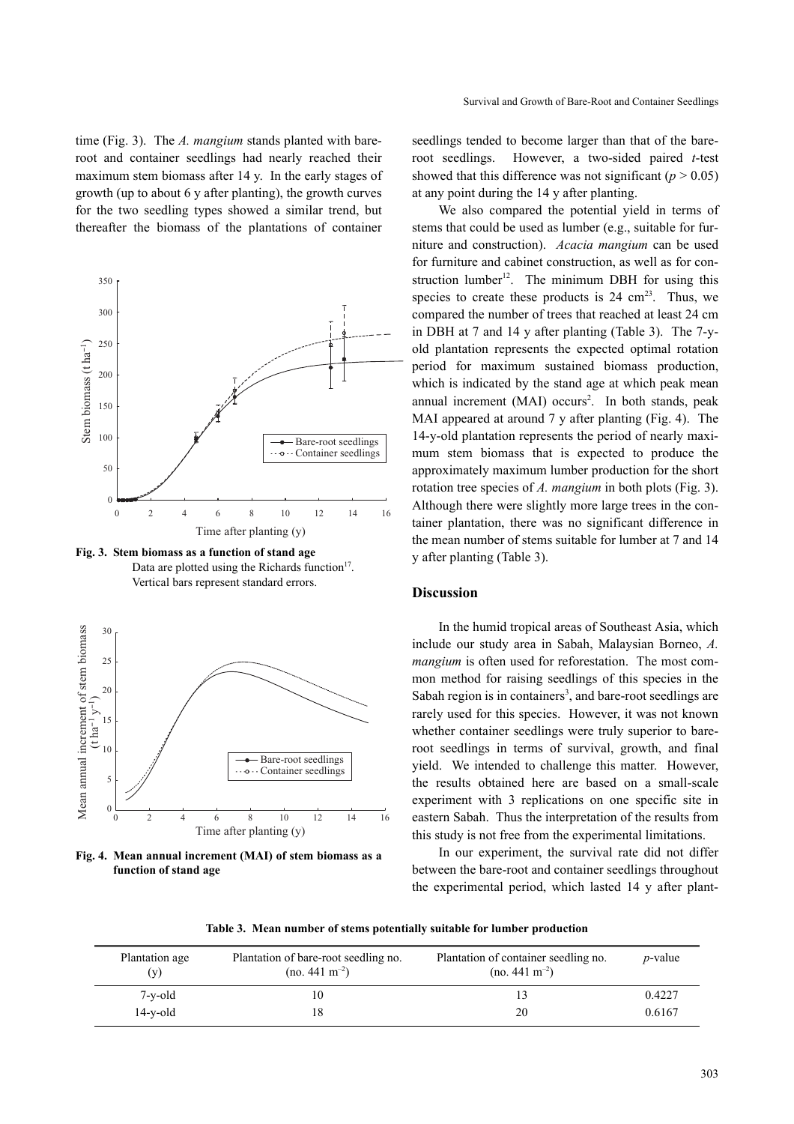time (Fig. 3). The *A. mangium* stands planted with bareroot and container seedlings had nearly reached their maximum stem biomass after 14 y. In the early stages of growth (up to about 6 y after planting), the growth curves for the two seedling types showed a similar trend, but thereafter the biomass of the plantations of container



**Fig. 3. Stem biomass as a function of stand age** Data are plotted using the Richards function<sup>17</sup>. Vertical bars represent standard errors.



**Fig. 4. Mean annual increment (MAI) of stem biomass as a function of stand age**

seedlings tended to become larger than that of the bareroot seedlings. However, a two-sided paired *t*-test showed that this difference was not significant ( $p > 0.05$ ) at any point during the 14 y after planting.

We also compared the potential yield in terms of stems that could be used as lumber (e.g., suitable for furniture and construction). *Acacia mangium* can be used for furniture and cabinet construction, as well as for construction lumber<sup>12</sup>. The minimum DBH for using this species to create these products is  $24 \text{ cm}^{23}$ . Thus, we compared the number of trees that reached at least 24 cm in DBH at 7 and 14 y after planting (Table 3). The 7-yold plantation represents the expected optimal rotation period for maximum sustained biomass production, which is indicated by the stand age at which peak mean annual increment (MAI) occurs<sup>2</sup>. In both stands, peak MAI appeared at around 7 y after planting (Fig. 4). The 14-y-old plantation represents the period of nearly maximum stem biomass that is expected to produce the approximately maximum lumber production for the short rotation tree species of *A. mangium* in both plots (Fig. 3). Although there were slightly more large trees in the container plantation, there was no significant difference in the mean number of stems suitable for lumber at 7 and 14 y after planting (Table 3).

# **Discussion**

In the humid tropical areas of Southeast Asia, which include our study area in Sabah, Malaysian Borneo, *A. mangium* is often used for reforestation. The most common method for raising seedlings of this species in the Sabah region is in containers<sup>3</sup>, and bare-root seedlings are rarely used for this species. However, it was not known whether container seedlings were truly superior to bareroot seedlings in terms of survival, growth, and final yield. We intended to challenge this matter. However, the results obtained here are based on a small-scale experiment with 3 replications on one specific site in eastern Sabah. Thus the interpretation of the results from this study is not free from the experimental limitations.

In our experiment, the survival rate did not differ between the bare-root and container seedlings throughout the experimental period, which lasted 14 y after plant-

|  |  | Table 3. Mean number of stems potentially suitable for lumber production |  |  |  |  |
|--|--|--------------------------------------------------------------------------|--|--|--|--|
|--|--|--------------------------------------------------------------------------|--|--|--|--|

| Plantation age<br>(v) | Plantation of bare-root seedling no.<br>$(no. 441 m-2)$ | Plantation of container seedling no.<br>$(no. 441 m-2)$ | <i>p</i> -value |
|-----------------------|---------------------------------------------------------|---------------------------------------------------------|-----------------|
| 7-y-old               |                                                         |                                                         | 0.4227          |
| $14-y$ -old           |                                                         | 20                                                      | 0.6167          |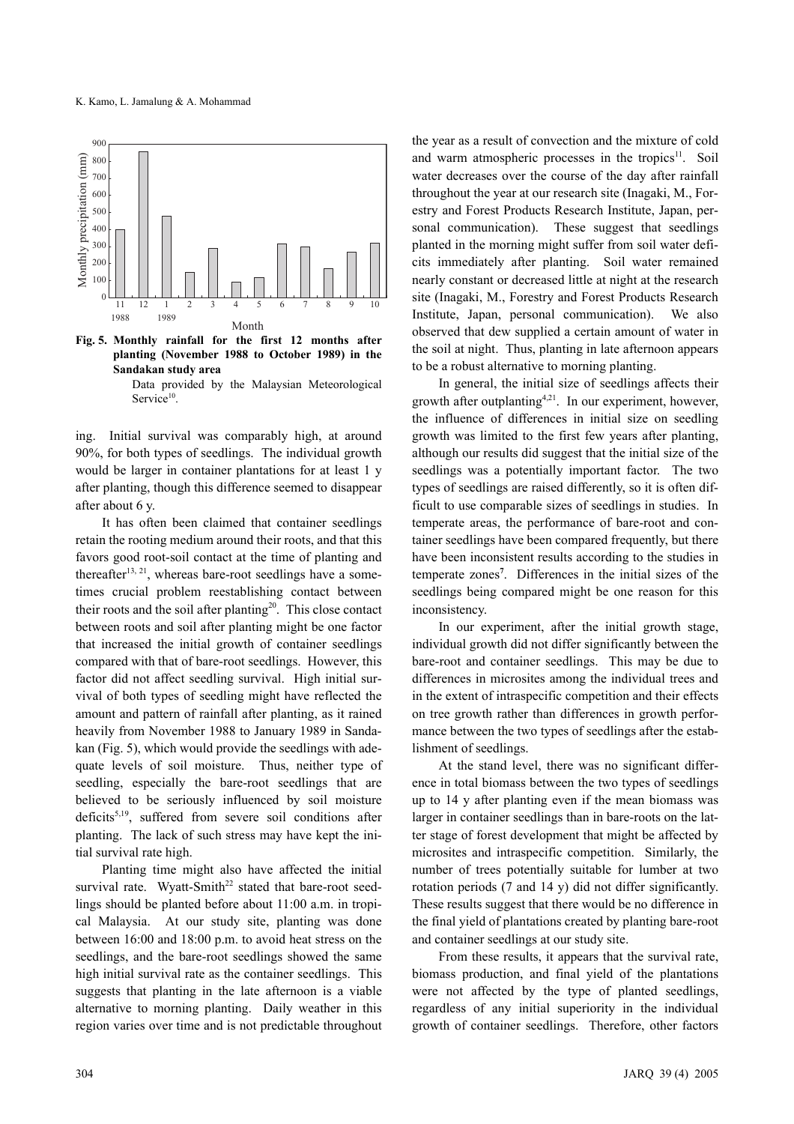

**Fig. 5. Monthly rainfall for the first 12 months after planting (November 1988 to October 1989) in the Sandakan study area** Data provided by the Malaysian Meteorological

Service<sup>10</sup>.

ing. Initial survival was comparably high, at around 90%, for both types of seedlings. The individual growth would be larger in container plantations for at least 1 y after planting, though this difference seemed to disappear after about 6 y.

It has often been claimed that container seedlings retain the rooting medium around their roots, and that this favors good root-soil contact at the time of planting and thereafter<sup>13, 21</sup>, whereas bare-root seedlings have a sometimes crucial problem reestablishing contact between their roots and the soil after planting<sup>20</sup>. This close contact between roots and soil after planting might be one factor that increased the initial growth of container seedlings compared with that of bare-root seedlings. However, this factor did not affect seedling survival. High initial survival of both types of seedling might have reflected the amount and pattern of rainfall after planting, as it rained heavily from November 1988 to January 1989 in Sandakan (Fig. 5), which would provide the seedlings with adequate levels of soil moisture. Thus, neither type of seedling, especially the bare-root seedlings that are believed to be seriously influenced by soil moisture deficits<sup>5,19</sup>, suffered from severe soil conditions after planting. The lack of such stress may have kept the initial survival rate high.

Planting time might also have affected the initial survival rate. Wyatt-Smith<sup>22</sup> stated that bare-root seedlings should be planted before about 11:00 a.m. in tropical Malaysia. At our study site, planting was done between 16:00 and 18:00 p.m. to avoid heat stress on the seedlings, and the bare-root seedlings showed the same high initial survival rate as the container seedlings. This suggests that planting in the late afternoon is a viable alternative to morning planting. Daily weather in this region varies over time and is not predictable throughout the year as a result of convection and the mixture of cold and warm atmospheric processes in the tropics $11$ . Soil water decreases over the course of the day after rainfall throughout the year at our research site (Inagaki, M., Forestry and Forest Products Research Institute, Japan, personal communication). These suggest that seedlings planted in the morning might suffer from soil water deficits immediately after planting. Soil water remained nearly constant or decreased little at night at the research site (Inagaki, M., Forestry and Forest Products Research Institute, Japan, personal communication). We also observed that dew supplied a certain amount of water in the soil at night. Thus, planting in late afternoon appears to be a robust alternative to morning planting.

In general, the initial size of seedlings affects their growth after outplanting<sup>4,21</sup>. In our experiment, however, the influence of differences in initial size on seedling growth was limited to the first few years after planting, although our results did suggest that the initial size of the seedlings was a potentially important factor. The two types of seedlings are raised differently, so it is often difficult to use comparable sizes of seedlings in studies. In temperate areas, the performance of bare-root and container seedlings have been compared frequently, but there have been inconsistent results according to the studies in temperate zones**<sup>7</sup>** . Differences in the initial sizes of the seedlings being compared might be one reason for this inconsistency.

In our experiment, after the initial growth stage, individual growth did not differ significantly between the bare-root and container seedlings. This may be due to differences in microsites among the individual trees and in the extent of intraspecific competition and their effects on tree growth rather than differences in growth performance between the two types of seedlings after the establishment of seedlings.

At the stand level, there was no significant difference in total biomass between the two types of seedlings up to 14 y after planting even if the mean biomass was larger in container seedlings than in bare-roots on the latter stage of forest development that might be affected by microsites and intraspecific competition. Similarly, the number of trees potentially suitable for lumber at two rotation periods (7 and 14 y) did not differ significantly. These results suggest that there would be no difference in the final yield of plantations created by planting bare-root and container seedlings at our study site.

From these results, it appears that the survival rate, biomass production, and final yield of the plantations were not affected by the type of planted seedlings, regardless of any initial superiority in the individual growth of container seedlings. Therefore, other factors